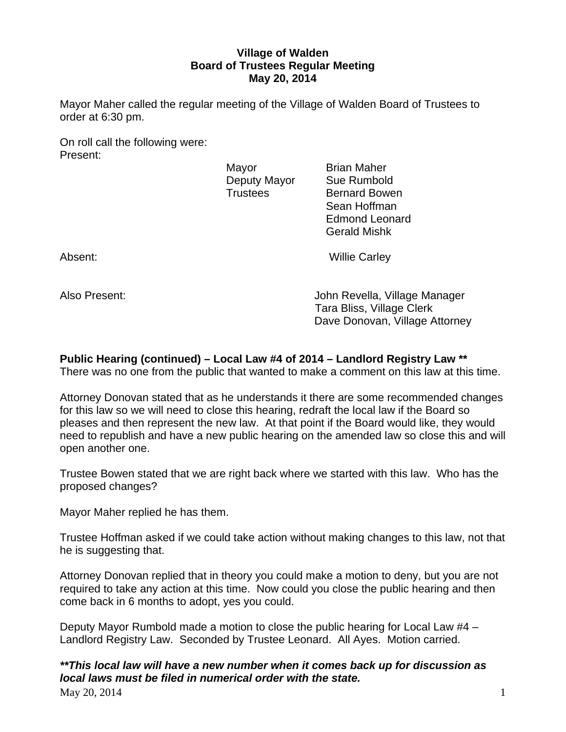# **Village of Walden Board of Trustees Regular Meeting May 20, 2014**

Mayor Maher called the regular meeting of the Village of Walden Board of Trustees to order at 6:30 pm.

On roll call the following were: Present:

Mayor **Brian Maher** Deputy Mayor Sue Rumbold

Trustees Bernard Bowen Sean Hoffman Edmond Leonard Gerald Mishk

Absent: Willie Carley

Also Present: John Revella, Village Manager Tara Bliss, Village Clerk Dave Donovan, Village Attorney

# **Public Hearing (continued) – Local Law #4 of 2014 – Landlord Registry Law \*\***

There was no one from the public that wanted to make a comment on this law at this time.

Attorney Donovan stated that as he understands it there are some recommended changes for this law so we will need to close this hearing, redraft the local law if the Board so pleases and then represent the new law. At that point if the Board would like, they would need to republish and have a new public hearing on the amended law so close this and will open another one.

Trustee Bowen stated that we are right back where we started with this law. Who has the proposed changes?

Mayor Maher replied he has them.

Trustee Hoffman asked if we could take action without making changes to this law, not that he is suggesting that.

Attorney Donovan replied that in theory you could make a motion to deny, but you are not required to take any action at this time. Now could you close the public hearing and then come back in 6 months to adopt, yes you could.

Deputy Mayor Rumbold made a motion to close the public hearing for Local Law #4 – Landlord Registry Law. Seconded by Trustee Leonard. All Ayes. Motion carried.

*\*\*This local law will have a new number when it comes back up for discussion as local laws must be filed in numerical order with the state.* 

 $\text{Mav } 20, 2014$  1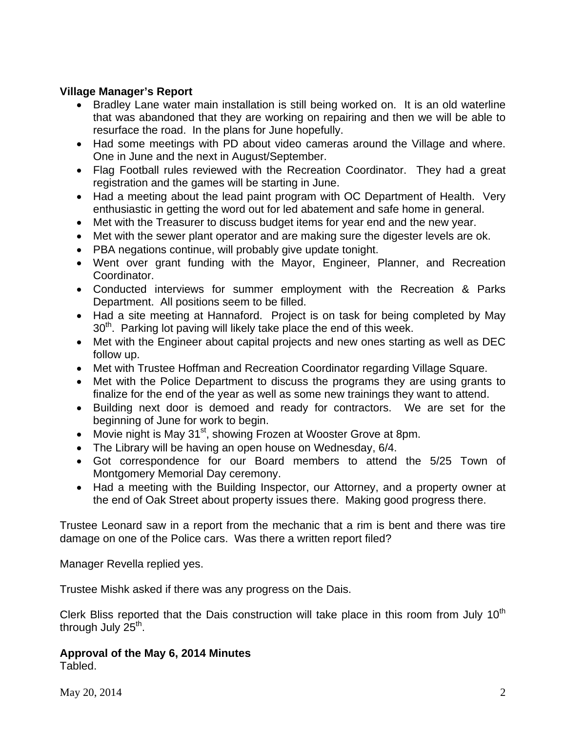# **Village Manager's Report**

- Bradley Lane water main installation is still being worked on. It is an old waterline that was abandoned that they are working on repairing and then we will be able to resurface the road. In the plans for June hopefully.
- Had some meetings with PD about video cameras around the Village and where. One in June and the next in August/September.
- Flag Football rules reviewed with the Recreation Coordinator. They had a great registration and the games will be starting in June.
- Had a meeting about the lead paint program with OC Department of Health. Very enthusiastic in getting the word out for led abatement and safe home in general.
- Met with the Treasurer to discuss budget items for year end and the new year.
- Met with the sewer plant operator and are making sure the digester levels are ok.
- PBA negations continue, will probably give update tonight.
- Went over grant funding with the Mayor, Engineer, Planner, and Recreation Coordinator.
- Conducted interviews for summer employment with the Recreation & Parks Department. All positions seem to be filled.
- Had a site meeting at Hannaford. Project is on task for being completed by May  $30<sup>th</sup>$ . Parking lot paving will likely take place the end of this week.
- Met with the Engineer about capital projects and new ones starting as well as DEC follow up.
- Met with Trustee Hoffman and Recreation Coordinator regarding Village Square.
- Met with the Police Department to discuss the programs they are using grants to finalize for the end of the year as well as some new trainings they want to attend.
- Building next door is demoed and ready for contractors. We are set for the beginning of June for work to begin.
- Movie night is May 31<sup>st</sup>, showing Frozen at Wooster Grove at 8pm.
- The Library will be having an open house on Wednesday, 6/4.
- Got correspondence for our Board members to attend the 5/25 Town of Montgomery Memorial Day ceremony.
- Had a meeting with the Building Inspector, our Attorney, and a property owner at the end of Oak Street about property issues there. Making good progress there.

Trustee Leonard saw in a report from the mechanic that a rim is bent and there was tire damage on one of the Police cars. Was there a written report filed?

Manager Revella replied yes.

Trustee Mishk asked if there was any progress on the Dais.

Clerk Bliss reported that the Dais construction will take place in this room from July  $10<sup>th</sup>$ through July  $25<sup>th</sup>$ .

#### **Approval of the May 6, 2014 Minutes**  Tabled.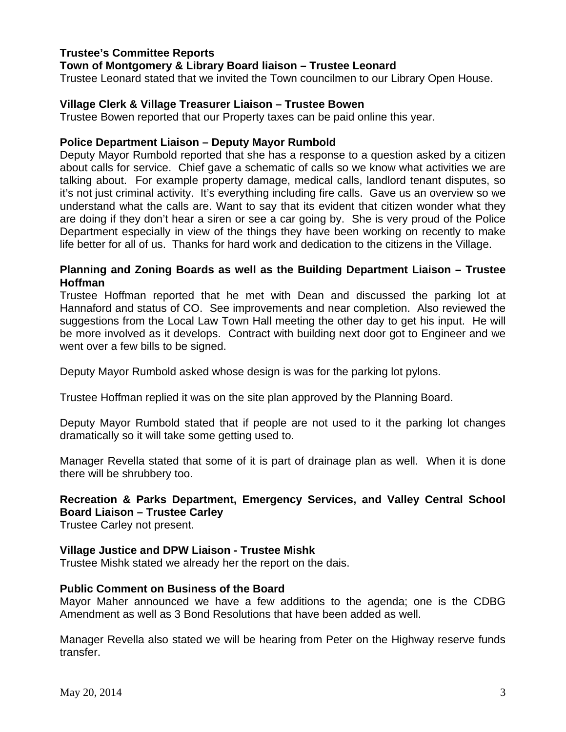## **Trustee's Committee Reports**

## **Town of Montgomery & Library Board liaison – Trustee Leonard**

Trustee Leonard stated that we invited the Town councilmen to our Library Open House.

## **Village Clerk & Village Treasurer Liaison – Trustee Bowen**

Trustee Bowen reported that our Property taxes can be paid online this year.

## **Police Department Liaison – Deputy Mayor Rumbold**

Deputy Mayor Rumbold reported that she has a response to a question asked by a citizen about calls for service. Chief gave a schematic of calls so we know what activities we are talking about. For example property damage, medical calls, landlord tenant disputes, so it's not just criminal activity. It's everything including fire calls. Gave us an overview so we understand what the calls are. Want to say that its evident that citizen wonder what they are doing if they don't hear a siren or see a car going by. She is very proud of the Police Department especially in view of the things they have been working on recently to make life better for all of us. Thanks for hard work and dedication to the citizens in the Village.

## **Planning and Zoning Boards as well as the Building Department Liaison – Trustee Hoffman**

Trustee Hoffman reported that he met with Dean and discussed the parking lot at Hannaford and status of CO. See improvements and near completion. Also reviewed the suggestions from the Local Law Town Hall meeting the other day to get his input. He will be more involved as it develops. Contract with building next door got to Engineer and we went over a few bills to be signed.

Deputy Mayor Rumbold asked whose design is was for the parking lot pylons.

Trustee Hoffman replied it was on the site plan approved by the Planning Board.

Deputy Mayor Rumbold stated that if people are not used to it the parking lot changes dramatically so it will take some getting used to.

Manager Revella stated that some of it is part of drainage plan as well. When it is done there will be shrubbery too.

# **Recreation & Parks Department, Emergency Services, and Valley Central School Board Liaison – Trustee Carley**

Trustee Carley not present.

#### **Village Justice and DPW Liaison - Trustee Mishk**

Trustee Mishk stated we already her the report on the dais.

#### **Public Comment on Business of the Board**

Mayor Maher announced we have a few additions to the agenda; one is the CDBG Amendment as well as 3 Bond Resolutions that have been added as well.

Manager Revella also stated we will be hearing from Peter on the Highway reserve funds transfer.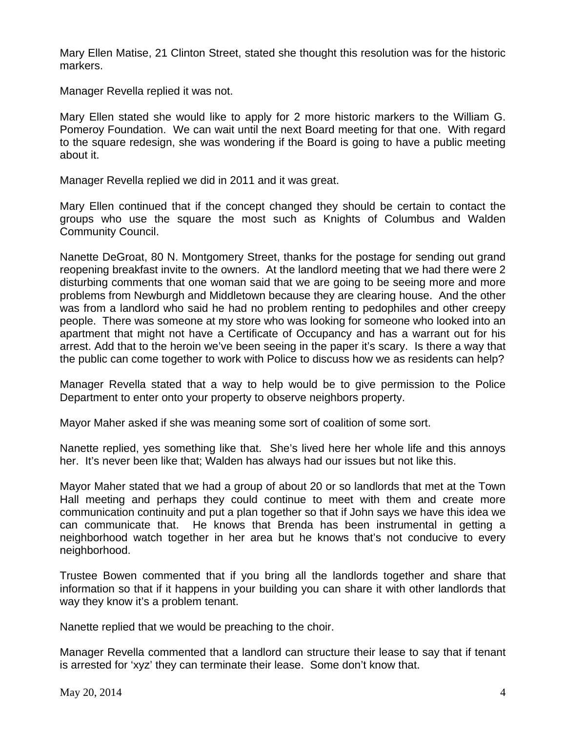Mary Ellen Matise, 21 Clinton Street, stated she thought this resolution was for the historic markers.

Manager Revella replied it was not.

Mary Ellen stated she would like to apply for 2 more historic markers to the William G. Pomeroy Foundation. We can wait until the next Board meeting for that one. With regard to the square redesign, she was wondering if the Board is going to have a public meeting about it.

Manager Revella replied we did in 2011 and it was great.

Mary Ellen continued that if the concept changed they should be certain to contact the groups who use the square the most such as Knights of Columbus and Walden Community Council.

Nanette DeGroat, 80 N. Montgomery Street, thanks for the postage for sending out grand reopening breakfast invite to the owners. At the landlord meeting that we had there were 2 disturbing comments that one woman said that we are going to be seeing more and more problems from Newburgh and Middletown because they are clearing house. And the other was from a landlord who said he had no problem renting to pedophiles and other creepy people. There was someone at my store who was looking for someone who looked into an apartment that might not have a Certificate of Occupancy and has a warrant out for his arrest. Add that to the heroin we've been seeing in the paper it's scary. Is there a way that the public can come together to work with Police to discuss how we as residents can help?

Manager Revella stated that a way to help would be to give permission to the Police Department to enter onto your property to observe neighbors property.

Mayor Maher asked if she was meaning some sort of coalition of some sort.

Nanette replied, yes something like that. She's lived here her whole life and this annoys her. It's never been like that; Walden has always had our issues but not like this.

Mayor Maher stated that we had a group of about 20 or so landlords that met at the Town Hall meeting and perhaps they could continue to meet with them and create more communication continuity and put a plan together so that if John says we have this idea we can communicate that. He knows that Brenda has been instrumental in getting a neighborhood watch together in her area but he knows that's not conducive to every neighborhood.

Trustee Bowen commented that if you bring all the landlords together and share that information so that if it happens in your building you can share it with other landlords that way they know it's a problem tenant.

Nanette replied that we would be preaching to the choir.

Manager Revella commented that a landlord can structure their lease to say that if tenant is arrested for 'xyz' they can terminate their lease. Some don't know that.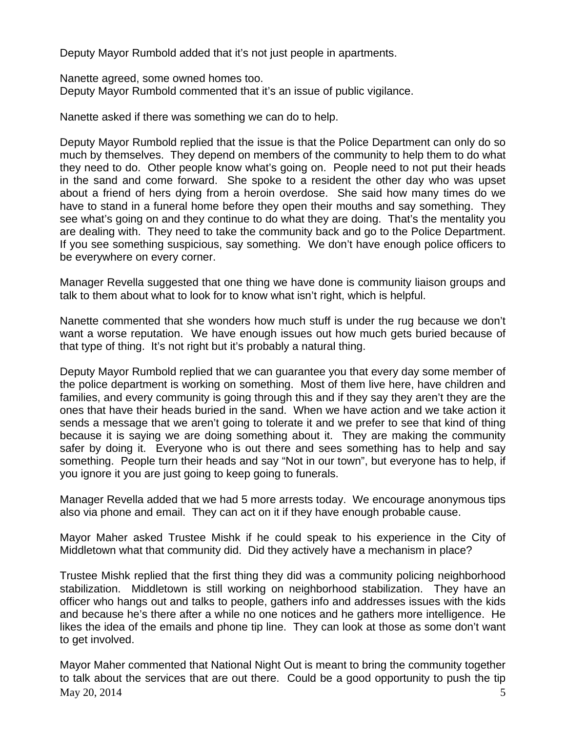Deputy Mayor Rumbold added that it's not just people in apartments.

Nanette agreed, some owned homes too. Deputy Mayor Rumbold commented that it's an issue of public vigilance.

Nanette asked if there was something we can do to help.

Deputy Mayor Rumbold replied that the issue is that the Police Department can only do so much by themselves. They depend on members of the community to help them to do what they need to do. Other people know what's going on. People need to not put their heads in the sand and come forward. She spoke to a resident the other day who was upset about a friend of hers dying from a heroin overdose. She said how many times do we have to stand in a funeral home before they open their mouths and say something. They see what's going on and they continue to do what they are doing. That's the mentality you are dealing with. They need to take the community back and go to the Police Department. If you see something suspicious, say something. We don't have enough police officers to be everywhere on every corner.

Manager Revella suggested that one thing we have done is community liaison groups and talk to them about what to look for to know what isn't right, which is helpful.

Nanette commented that she wonders how much stuff is under the rug because we don't want a worse reputation. We have enough issues out how much gets buried because of that type of thing. It's not right but it's probably a natural thing.

Deputy Mayor Rumbold replied that we can guarantee you that every day some member of the police department is working on something. Most of them live here, have children and families, and every community is going through this and if they say they aren't they are the ones that have their heads buried in the sand. When we have action and we take action it sends a message that we aren't going to tolerate it and we prefer to see that kind of thing because it is saying we are doing something about it. They are making the community safer by doing it. Everyone who is out there and sees something has to help and say something. People turn their heads and say "Not in our town", but everyone has to help, if you ignore it you are just going to keep going to funerals.

Manager Revella added that we had 5 more arrests today. We encourage anonymous tips also via phone and email. They can act on it if they have enough probable cause.

Mayor Maher asked Trustee Mishk if he could speak to his experience in the City of Middletown what that community did. Did they actively have a mechanism in place?

Trustee Mishk replied that the first thing they did was a community policing neighborhood stabilization. Middletown is still working on neighborhood stabilization. They have an officer who hangs out and talks to people, gathers info and addresses issues with the kids and because he's there after a while no one notices and he gathers more intelligence. He likes the idea of the emails and phone tip line. They can look at those as some don't want to get involved.

 $\text{May } 20, 2014$  5 Mayor Maher commented that National Night Out is meant to bring the community together to talk about the services that are out there. Could be a good opportunity to push the tip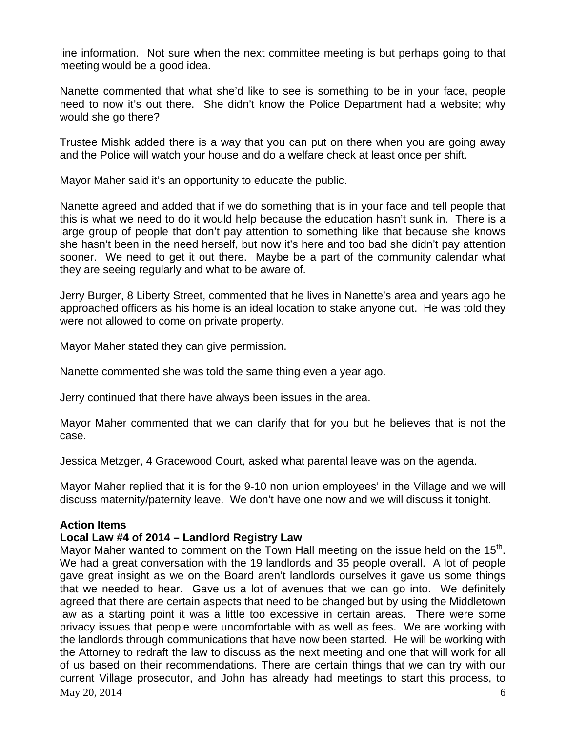line information. Not sure when the next committee meeting is but perhaps going to that meeting would be a good idea.

Nanette commented that what she'd like to see is something to be in your face, people need to now it's out there. She didn't know the Police Department had a website; why would she go there?

Trustee Mishk added there is a way that you can put on there when you are going away and the Police will watch your house and do a welfare check at least once per shift.

Mayor Maher said it's an opportunity to educate the public.

Nanette agreed and added that if we do something that is in your face and tell people that this is what we need to do it would help because the education hasn't sunk in. There is a large group of people that don't pay attention to something like that because she knows she hasn't been in the need herself, but now it's here and too bad she didn't pay attention sooner. We need to get it out there. Maybe be a part of the community calendar what they are seeing regularly and what to be aware of.

Jerry Burger, 8 Liberty Street, commented that he lives in Nanette's area and years ago he approached officers as his home is an ideal location to stake anyone out. He was told they were not allowed to come on private property.

Mayor Maher stated they can give permission.

Nanette commented she was told the same thing even a year ago.

Jerry continued that there have always been issues in the area.

Mayor Maher commented that we can clarify that for you but he believes that is not the case.

Jessica Metzger, 4 Gracewood Court, asked what parental leave was on the agenda.

Mayor Maher replied that it is for the 9-10 non union employees' in the Village and we will discuss maternity/paternity leave. We don't have one now and we will discuss it tonight.

# **Action Items**

# **Local Law #4 of 2014 – Landlord Registry Law**

 $\text{Mav } 20, 2014$  6 Mayor Maher wanted to comment on the Town Hall meeting on the issue held on the  $15<sup>th</sup>$ . We had a great conversation with the 19 landlords and 35 people overall. A lot of people gave great insight as we on the Board aren't landlords ourselves it gave us some things that we needed to hear. Gave us a lot of avenues that we can go into. We definitely agreed that there are certain aspects that need to be changed but by using the Middletown law as a starting point it was a little too excessive in certain areas. There were some privacy issues that people were uncomfortable with as well as fees. We are working with the landlords through communications that have now been started. He will be working with the Attorney to redraft the law to discuss as the next meeting and one that will work for all of us based on their recommendations. There are certain things that we can try with our current Village prosecutor, and John has already had meetings to start this process, to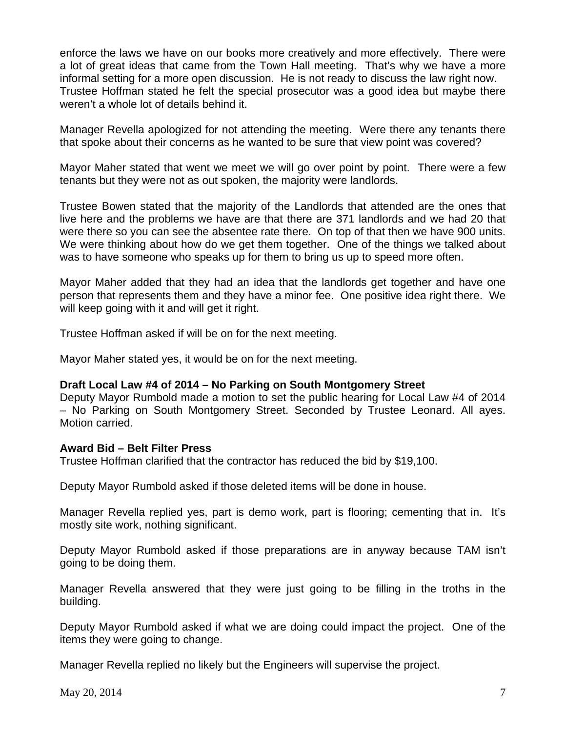enforce the laws we have on our books more creatively and more effectively. There were a lot of great ideas that came from the Town Hall meeting. That's why we have a more informal setting for a more open discussion. He is not ready to discuss the law right now. Trustee Hoffman stated he felt the special prosecutor was a good idea but maybe there weren't a whole lot of details behind it.

Manager Revella apologized for not attending the meeting. Were there any tenants there that spoke about their concerns as he wanted to be sure that view point was covered?

Mayor Maher stated that went we meet we will go over point by point. There were a few tenants but they were not as out spoken, the majority were landlords.

Trustee Bowen stated that the majority of the Landlords that attended are the ones that live here and the problems we have are that there are 371 landlords and we had 20 that were there so you can see the absentee rate there. On top of that then we have 900 units. We were thinking about how do we get them together. One of the things we talked about was to have someone who speaks up for them to bring us up to speed more often.

Mayor Maher added that they had an idea that the landlords get together and have one person that represents them and they have a minor fee. One positive idea right there. We will keep going with it and will get it right.

Trustee Hoffman asked if will be on for the next meeting.

Mayor Maher stated yes, it would be on for the next meeting.

# **Draft Local Law #4 of 2014 – No Parking on South Montgomery Street**

Deputy Mayor Rumbold made a motion to set the public hearing for Local Law #4 of 2014 – No Parking on South Montgomery Street. Seconded by Trustee Leonard. All ayes. Motion carried.

# **Award Bid – Belt Filter Press**

Trustee Hoffman clarified that the contractor has reduced the bid by \$19,100.

Deputy Mayor Rumbold asked if those deleted items will be done in house.

Manager Revella replied yes, part is demo work, part is flooring; cementing that in. It's mostly site work, nothing significant.

Deputy Mayor Rumbold asked if those preparations are in anyway because TAM isn't going to be doing them.

Manager Revella answered that they were just going to be filling in the troths in the building.

Deputy Mayor Rumbold asked if what we are doing could impact the project. One of the items they were going to change.

Manager Revella replied no likely but the Engineers will supervise the project.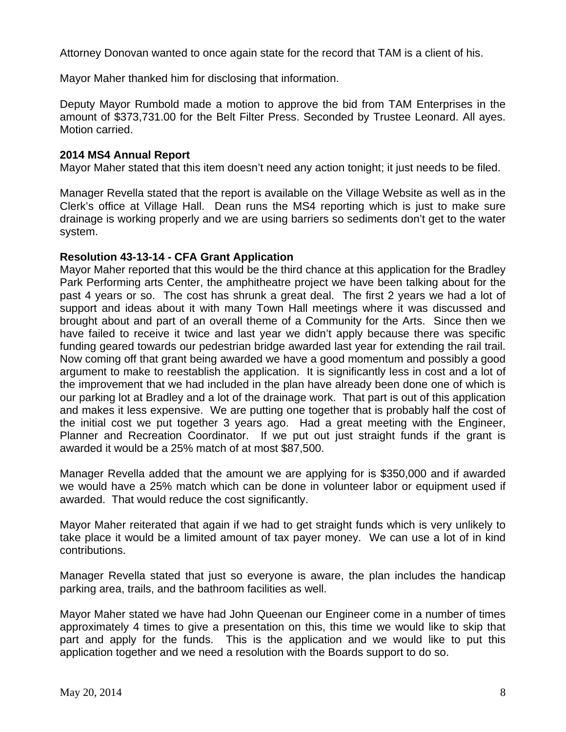Attorney Donovan wanted to once again state for the record that TAM is a client of his.

Mayor Maher thanked him for disclosing that information.

Deputy Mayor Rumbold made a motion to approve the bid from TAM Enterprises in the amount of \$373,731.00 for the Belt Filter Press. Seconded by Trustee Leonard. All ayes. Motion carried.

## **2014 MS4 Annual Report**

Mayor Maher stated that this item doesn't need any action tonight; it just needs to be filed.

Manager Revella stated that the report is available on the Village Website as well as in the Clerk's office at Village Hall. Dean runs the MS4 reporting which is just to make sure drainage is working properly and we are using barriers so sediments don't get to the water system.

## **Resolution 43-13-14 - CFA Grant Application**

Mayor Maher reported that this would be the third chance at this application for the Bradley Park Performing arts Center, the amphitheatre project we have been talking about for the past 4 years or so. The cost has shrunk a great deal. The first 2 years we had a lot of support and ideas about it with many Town Hall meetings where it was discussed and brought about and part of an overall theme of a Community for the Arts. Since then we have failed to receive it twice and last year we didn't apply because there was specific funding geared towards our pedestrian bridge awarded last year for extending the rail trail. Now coming off that grant being awarded we have a good momentum and possibly a good argument to make to reestablish the application. It is significantly less in cost and a lot of the improvement that we had included in the plan have already been done one of which is our parking lot at Bradley and a lot of the drainage work. That part is out of this application and makes it less expensive. We are putting one together that is probably half the cost of the initial cost we put together 3 years ago. Had a great meeting with the Engineer, Planner and Recreation Coordinator. If we put out just straight funds if the grant is awarded it would be a 25% match of at most \$87,500.

Manager Revella added that the amount we are applying for is \$350,000 and if awarded we would have a 25% match which can be done in volunteer labor or equipment used if awarded. That would reduce the cost significantly.

Mayor Maher reiterated that again if we had to get straight funds which is very unlikely to take place it would be a limited amount of tax payer money. We can use a lot of in kind contributions.

Manager Revella stated that just so everyone is aware, the plan includes the handicap parking area, trails, and the bathroom facilities as well.

Mayor Maher stated we have had John Queenan our Engineer come in a number of times approximately 4 times to give a presentation on this, this time we would like to skip that part and apply for the funds. This is the application and we would like to put this application together and we need a resolution with the Boards support to do so.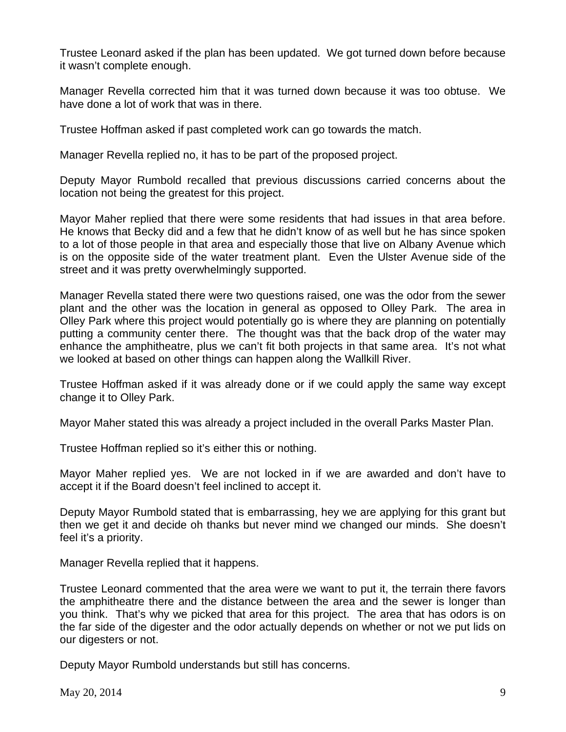Trustee Leonard asked if the plan has been updated. We got turned down before because it wasn't complete enough.

Manager Revella corrected him that it was turned down because it was too obtuse. We have done a lot of work that was in there.

Trustee Hoffman asked if past completed work can go towards the match.

Manager Revella replied no, it has to be part of the proposed project.

Deputy Mayor Rumbold recalled that previous discussions carried concerns about the location not being the greatest for this project.

Mayor Maher replied that there were some residents that had issues in that area before. He knows that Becky did and a few that he didn't know of as well but he has since spoken to a lot of those people in that area and especially those that live on Albany Avenue which is on the opposite side of the water treatment plant. Even the Ulster Avenue side of the street and it was pretty overwhelmingly supported.

Manager Revella stated there were two questions raised, one was the odor from the sewer plant and the other was the location in general as opposed to Olley Park. The area in Olley Park where this project would potentially go is where they are planning on potentially putting a community center there. The thought was that the back drop of the water may enhance the amphitheatre, plus we can't fit both projects in that same area. It's not what we looked at based on other things can happen along the Wallkill River.

Trustee Hoffman asked if it was already done or if we could apply the same way except change it to Olley Park.

Mayor Maher stated this was already a project included in the overall Parks Master Plan.

Trustee Hoffman replied so it's either this or nothing.

Mayor Maher replied yes. We are not locked in if we are awarded and don't have to accept it if the Board doesn't feel inclined to accept it.

Deputy Mayor Rumbold stated that is embarrassing, hey we are applying for this grant but then we get it and decide oh thanks but never mind we changed our minds. She doesn't feel it's a priority.

Manager Revella replied that it happens.

Trustee Leonard commented that the area were we want to put it, the terrain there favors the amphitheatre there and the distance between the area and the sewer is longer than you think. That's why we picked that area for this project. The area that has odors is on the far side of the digester and the odor actually depends on whether or not we put lids on our digesters or not.

Deputy Mayor Rumbold understands but still has concerns.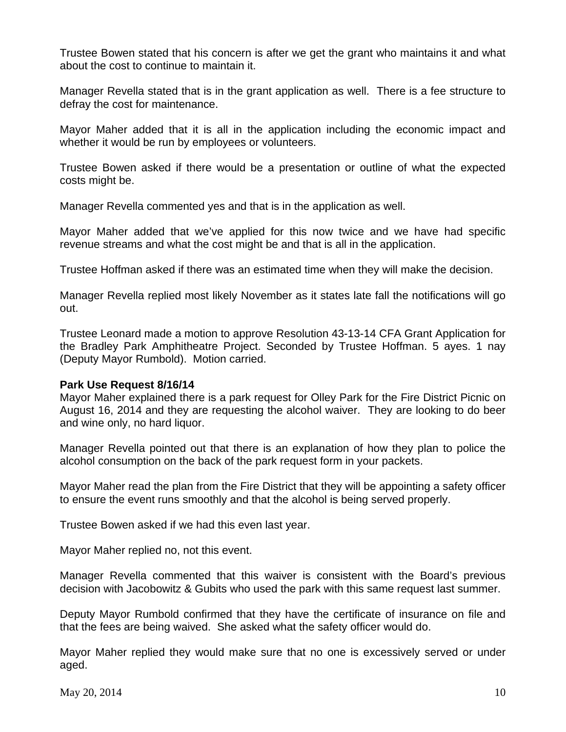Trustee Bowen stated that his concern is after we get the grant who maintains it and what about the cost to continue to maintain it.

Manager Revella stated that is in the grant application as well. There is a fee structure to defray the cost for maintenance.

Mayor Maher added that it is all in the application including the economic impact and whether it would be run by employees or volunteers.

Trustee Bowen asked if there would be a presentation or outline of what the expected costs might be.

Manager Revella commented yes and that is in the application as well.

Mayor Maher added that we've applied for this now twice and we have had specific revenue streams and what the cost might be and that is all in the application.

Trustee Hoffman asked if there was an estimated time when they will make the decision.

Manager Revella replied most likely November as it states late fall the notifications will go out.

Trustee Leonard made a motion to approve Resolution 43-13-14 CFA Grant Application for the Bradley Park Amphitheatre Project. Seconded by Trustee Hoffman. 5 ayes. 1 nay (Deputy Mayor Rumbold). Motion carried.

#### **Park Use Request 8/16/14**

Mayor Maher explained there is a park request for Olley Park for the Fire District Picnic on August 16, 2014 and they are requesting the alcohol waiver. They are looking to do beer and wine only, no hard liquor.

Manager Revella pointed out that there is an explanation of how they plan to police the alcohol consumption on the back of the park request form in your packets.

Mayor Maher read the plan from the Fire District that they will be appointing a safety officer to ensure the event runs smoothly and that the alcohol is being served properly.

Trustee Bowen asked if we had this even last year.

Mayor Maher replied no, not this event.

Manager Revella commented that this waiver is consistent with the Board's previous decision with Jacobowitz & Gubits who used the park with this same request last summer.

Deputy Mayor Rumbold confirmed that they have the certificate of insurance on file and that the fees are being waived. She asked what the safety officer would do.

Mayor Maher replied they would make sure that no one is excessively served or under aged.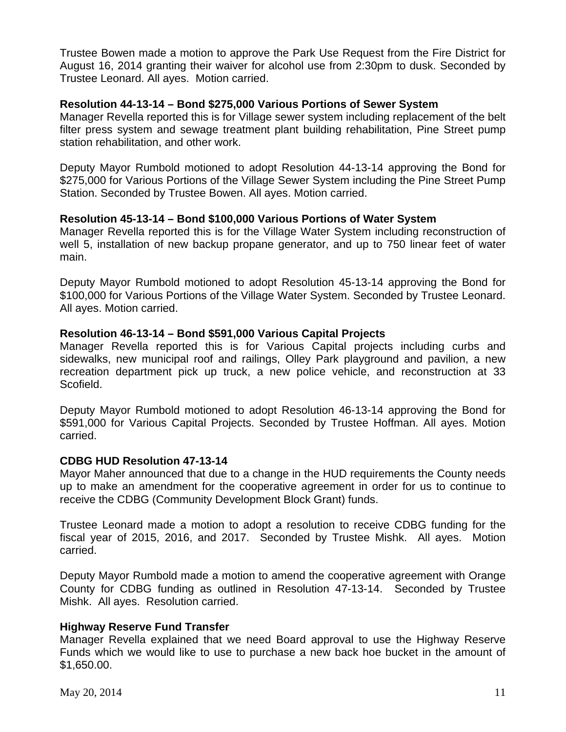Trustee Bowen made a motion to approve the Park Use Request from the Fire District for August 16, 2014 granting their waiver for alcohol use from 2:30pm to dusk. Seconded by Trustee Leonard. All ayes. Motion carried.

## **Resolution 44-13-14 – Bond \$275,000 Various Portions of Sewer System**

Manager Revella reported this is for Village sewer system including replacement of the belt filter press system and sewage treatment plant building rehabilitation, Pine Street pump station rehabilitation, and other work.

Deputy Mayor Rumbold motioned to adopt Resolution 44-13-14 approving the Bond for \$275,000 for Various Portions of the Village Sewer System including the Pine Street Pump Station. Seconded by Trustee Bowen. All ayes. Motion carried.

## **Resolution 45-13-14 – Bond \$100,000 Various Portions of Water System**

Manager Revella reported this is for the Village Water System including reconstruction of well 5, installation of new backup propane generator, and up to 750 linear feet of water main.

Deputy Mayor Rumbold motioned to adopt Resolution 45-13-14 approving the Bond for \$100,000 for Various Portions of the Village Water System. Seconded by Trustee Leonard. All ayes. Motion carried.

## **Resolution 46-13-14 – Bond \$591,000 Various Capital Projects**

Manager Revella reported this is for Various Capital projects including curbs and sidewalks, new municipal roof and railings, Olley Park playground and pavilion, a new recreation department pick up truck, a new police vehicle, and reconstruction at 33 Scofield.

Deputy Mayor Rumbold motioned to adopt Resolution 46-13-14 approving the Bond for \$591,000 for Various Capital Projects. Seconded by Trustee Hoffman. All ayes. Motion carried.

#### **CDBG HUD Resolution 47-13-14**

Mayor Maher announced that due to a change in the HUD requirements the County needs up to make an amendment for the cooperative agreement in order for us to continue to receive the CDBG (Community Development Block Grant) funds.

Trustee Leonard made a motion to adopt a resolution to receive CDBG funding for the fiscal year of 2015, 2016, and 2017. Seconded by Trustee Mishk. All ayes. Motion carried.

Deputy Mayor Rumbold made a motion to amend the cooperative agreement with Orange County for CDBG funding as outlined in Resolution 47-13-14. Seconded by Trustee Mishk. All ayes. Resolution carried.

# **Highway Reserve Fund Transfer**

Manager Revella explained that we need Board approval to use the Highway Reserve Funds which we would like to use to purchase a new back hoe bucket in the amount of \$1,650.00.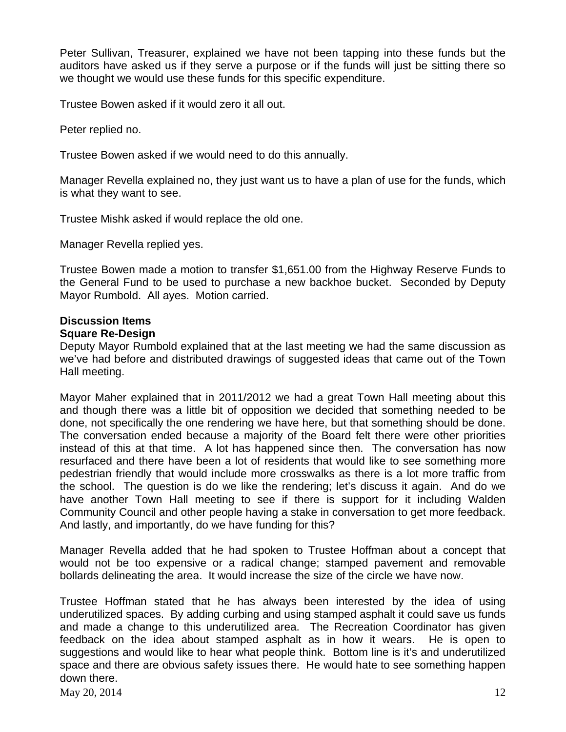Peter Sullivan, Treasurer, explained we have not been tapping into these funds but the auditors have asked us if they serve a purpose or if the funds will just be sitting there so we thought we would use these funds for this specific expenditure.

Trustee Bowen asked if it would zero it all out.

Peter replied no.

Trustee Bowen asked if we would need to do this annually.

Manager Revella explained no, they just want us to have a plan of use for the funds, which is what they want to see.

Trustee Mishk asked if would replace the old one.

Manager Revella replied yes.

Trustee Bowen made a motion to transfer \$1,651.00 from the Highway Reserve Funds to the General Fund to be used to purchase a new backhoe bucket. Seconded by Deputy Mayor Rumbold. All ayes. Motion carried.

# **Discussion Items**

# **Square Re-Design**

Deputy Mayor Rumbold explained that at the last meeting we had the same discussion as we've had before and distributed drawings of suggested ideas that came out of the Town Hall meeting.

Mayor Maher explained that in 2011/2012 we had a great Town Hall meeting about this and though there was a little bit of opposition we decided that something needed to be done, not specifically the one rendering we have here, but that something should be done. The conversation ended because a majority of the Board felt there were other priorities instead of this at that time. A lot has happened since then. The conversation has now resurfaced and there have been a lot of residents that would like to see something more pedestrian friendly that would include more crosswalks as there is a lot more traffic from the school. The question is do we like the rendering; let's discuss it again. And do we have another Town Hall meeting to see if there is support for it including Walden Community Council and other people having a stake in conversation to get more feedback. And lastly, and importantly, do we have funding for this?

Manager Revella added that he had spoken to Trustee Hoffman about a concept that would not be too expensive or a radical change; stamped pavement and removable bollards delineating the area. It would increase the size of the circle we have now.

 $\text{Mav } 20, 2014$  12 Trustee Hoffman stated that he has always been interested by the idea of using underutilized spaces. By adding curbing and using stamped asphalt it could save us funds and made a change to this underutilized area. The Recreation Coordinator has given feedback on the idea about stamped asphalt as in how it wears. He is open to suggestions and would like to hear what people think. Bottom line is it's and underutilized space and there are obvious safety issues there. He would hate to see something happen down there.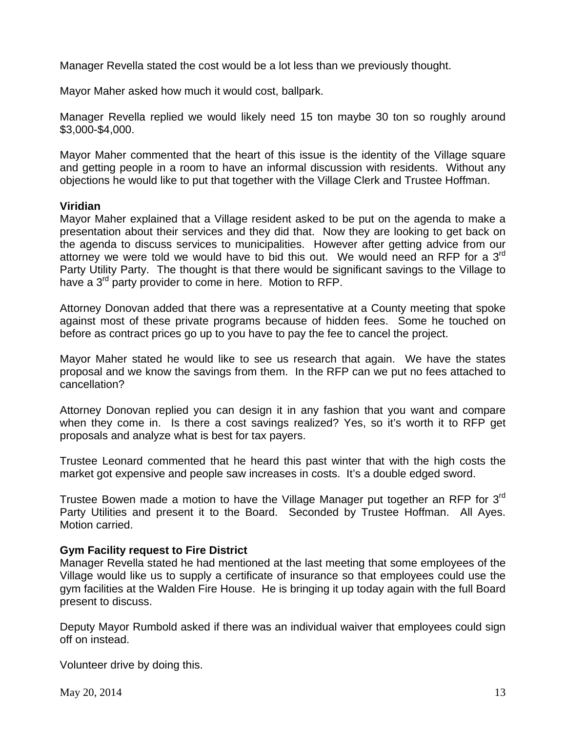Manager Revella stated the cost would be a lot less than we previously thought.

Mayor Maher asked how much it would cost, ballpark.

Manager Revella replied we would likely need 15 ton maybe 30 ton so roughly around \$3,000-\$4,000.

Mayor Maher commented that the heart of this issue is the identity of the Village square and getting people in a room to have an informal discussion with residents. Without any objections he would like to put that together with the Village Clerk and Trustee Hoffman.

## **Viridian**

Mayor Maher explained that a Village resident asked to be put on the agenda to make a presentation about their services and they did that. Now they are looking to get back on the agenda to discuss services to municipalities. However after getting advice from our attorney we were told we would have to bid this out. We would need an RFP for a  $3<sup>rd</sup>$ Party Utility Party. The thought is that there would be significant savings to the Village to have a 3<sup>rd</sup> party provider to come in here. Motion to RFP.

Attorney Donovan added that there was a representative at a County meeting that spoke against most of these private programs because of hidden fees. Some he touched on before as contract prices go up to you have to pay the fee to cancel the project.

Mayor Maher stated he would like to see us research that again. We have the states proposal and we know the savings from them. In the RFP can we put no fees attached to cancellation?

Attorney Donovan replied you can design it in any fashion that you want and compare when they come in. Is there a cost savings realized? Yes, so it's worth it to RFP get proposals and analyze what is best for tax payers.

Trustee Leonard commented that he heard this past winter that with the high costs the market got expensive and people saw increases in costs. It's a double edged sword.

Trustee Bowen made a motion to have the Village Manager put together an RFP for 3<sup>rd</sup> Party Utilities and present it to the Board. Seconded by Trustee Hoffman. All Ayes. Motion carried.

# **Gym Facility request to Fire District**

Manager Revella stated he had mentioned at the last meeting that some employees of the Village would like us to supply a certificate of insurance so that employees could use the gym facilities at the Walden Fire House. He is bringing it up today again with the full Board present to discuss.

Deputy Mayor Rumbold asked if there was an individual waiver that employees could sign off on instead.

Volunteer drive by doing this.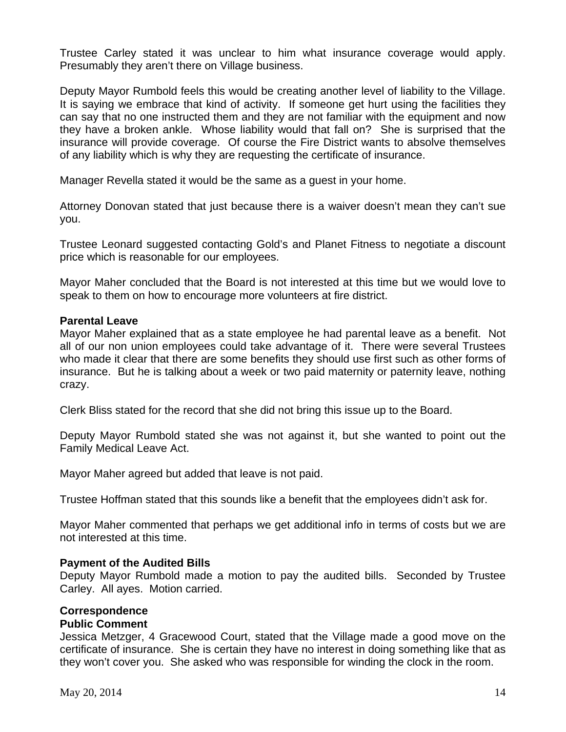Trustee Carley stated it was unclear to him what insurance coverage would apply. Presumably they aren't there on Village business.

Deputy Mayor Rumbold feels this would be creating another level of liability to the Village. It is saying we embrace that kind of activity. If someone get hurt using the facilities they can say that no one instructed them and they are not familiar with the equipment and now they have a broken ankle. Whose liability would that fall on? She is surprised that the insurance will provide coverage. Of course the Fire District wants to absolve themselves of any liability which is why they are requesting the certificate of insurance.

Manager Revella stated it would be the same as a guest in your home.

Attorney Donovan stated that just because there is a waiver doesn't mean they can't sue you.

Trustee Leonard suggested contacting Gold's and Planet Fitness to negotiate a discount price which is reasonable for our employees.

Mayor Maher concluded that the Board is not interested at this time but we would love to speak to them on how to encourage more volunteers at fire district.

## **Parental Leave**

Mayor Maher explained that as a state employee he had parental leave as a benefit. Not all of our non union employees could take advantage of it. There were several Trustees who made it clear that there are some benefits they should use first such as other forms of insurance. But he is talking about a week or two paid maternity or paternity leave, nothing crazy.

Clerk Bliss stated for the record that she did not bring this issue up to the Board.

Deputy Mayor Rumbold stated she was not against it, but she wanted to point out the Family Medical Leave Act.

Mayor Maher agreed but added that leave is not paid.

Trustee Hoffman stated that this sounds like a benefit that the employees didn't ask for.

Mayor Maher commented that perhaps we get additional info in terms of costs but we are not interested at this time.

#### **Payment of the Audited Bills**

Deputy Mayor Rumbold made a motion to pay the audited bills. Seconded by Trustee Carley. All ayes. Motion carried.

# **Correspondence**

#### **Public Comment**

Jessica Metzger, 4 Gracewood Court, stated that the Village made a good move on the certificate of insurance. She is certain they have no interest in doing something like that as they won't cover you. She asked who was responsible for winding the clock in the room.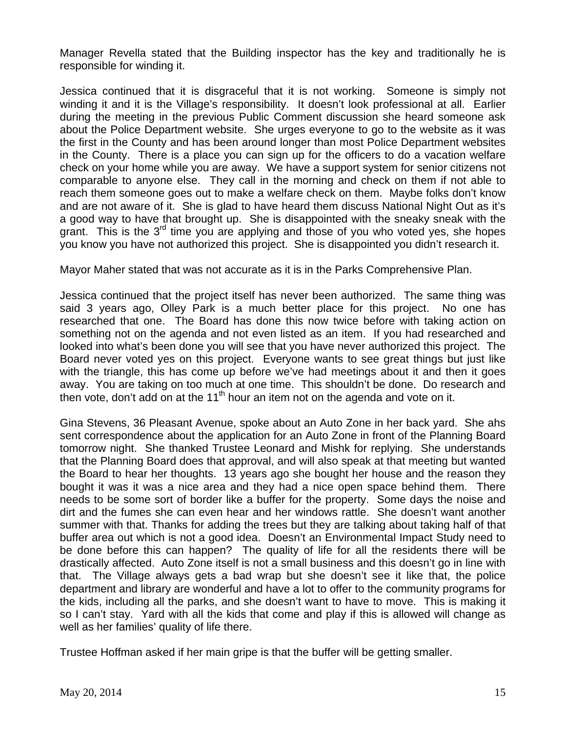Manager Revella stated that the Building inspector has the key and traditionally he is responsible for winding it.

Jessica continued that it is disgraceful that it is not working. Someone is simply not winding it and it is the Village's responsibility. It doesn't look professional at all. Earlier during the meeting in the previous Public Comment discussion she heard someone ask about the Police Department website. She urges everyone to go to the website as it was the first in the County and has been around longer than most Police Department websites in the County. There is a place you can sign up for the officers to do a vacation welfare check on your home while you are away. We have a support system for senior citizens not comparable to anyone else. They call in the morning and check on them if not able to reach them someone goes out to make a welfare check on them. Maybe folks don't know and are not aware of it. She is glad to have heard them discuss National Night Out as it's a good way to have that brought up. She is disappointed with the sneaky sneak with the grant. This is the  $3<sup>rd</sup>$  time you are applying and those of you who voted yes, she hopes you know you have not authorized this project. She is disappointed you didn't research it.

Mayor Maher stated that was not accurate as it is in the Parks Comprehensive Plan.

Jessica continued that the project itself has never been authorized. The same thing was said 3 years ago, Olley Park is a much better place for this project. No one has researched that one. The Board has done this now twice before with taking action on something not on the agenda and not even listed as an item. If you had researched and looked into what's been done you will see that you have never authorized this project. The Board never voted yes on this project. Everyone wants to see great things but just like with the triangle, this has come up before we've had meetings about it and then it goes away. You are taking on too much at one time. This shouldn't be done. Do research and then vote, don't add on at the 11<sup>th</sup> hour an item not on the agenda and vote on it.

Gina Stevens, 36 Pleasant Avenue, spoke about an Auto Zone in her back yard. She ahs sent correspondence about the application for an Auto Zone in front of the Planning Board tomorrow night. She thanked Trustee Leonard and Mishk for replying. She understands that the Planning Board does that approval, and will also speak at that meeting but wanted the Board to hear her thoughts. 13 years ago she bought her house and the reason they bought it was it was a nice area and they had a nice open space behind them. There needs to be some sort of border like a buffer for the property. Some days the noise and dirt and the fumes she can even hear and her windows rattle. She doesn't want another summer with that. Thanks for adding the trees but they are talking about taking half of that buffer area out which is not a good idea. Doesn't an Environmental Impact Study need to be done before this can happen? The quality of life for all the residents there will be drastically affected. Auto Zone itself is not a small business and this doesn't go in line with that. The Village always gets a bad wrap but she doesn't see it like that, the police department and library are wonderful and have a lot to offer to the community programs for the kids, including all the parks, and she doesn't want to have to move. This is making it so I can't stay. Yard with all the kids that come and play if this is allowed will change as well as her families' quality of life there.

Trustee Hoffman asked if her main gripe is that the buffer will be getting smaller.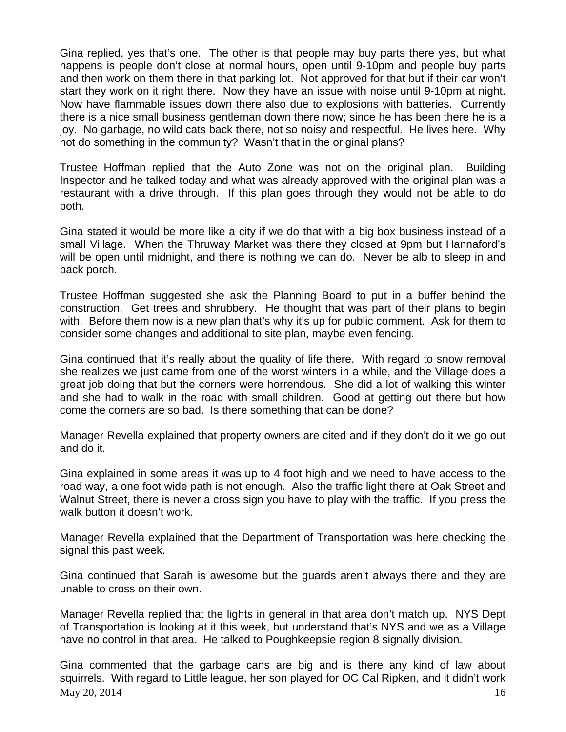Gina replied, yes that's one. The other is that people may buy parts there yes, but what happens is people don't close at normal hours, open until 9-10pm and people buy parts and then work on them there in that parking lot. Not approved for that but if their car won't start they work on it right there. Now they have an issue with noise until 9-10pm at night. Now have flammable issues down there also due to explosions with batteries. Currently there is a nice small business gentleman down there now; since he has been there he is a joy. No garbage, no wild cats back there, not so noisy and respectful. He lives here. Why not do something in the community? Wasn't that in the original plans?

Trustee Hoffman replied that the Auto Zone was not on the original plan. Building Inspector and he talked today and what was already approved with the original plan was a restaurant with a drive through. If this plan goes through they would not be able to do both.

Gina stated it would be more like a city if we do that with a big box business instead of a small Village. When the Thruway Market was there they closed at 9pm but Hannaford's will be open until midnight, and there is nothing we can do. Never be alb to sleep in and back porch.

Trustee Hoffman suggested she ask the Planning Board to put in a buffer behind the construction. Get trees and shrubbery. He thought that was part of their plans to begin with. Before them now is a new plan that's why it's up for public comment. Ask for them to consider some changes and additional to site plan, maybe even fencing.

Gina continued that it's really about the quality of life there. With regard to snow removal she realizes we just came from one of the worst winters in a while, and the Village does a great job doing that but the corners were horrendous. She did a lot of walking this winter and she had to walk in the road with small children. Good at getting out there but how come the corners are so bad. Is there something that can be done?

Manager Revella explained that property owners are cited and if they don't do it we go out and do it.

Gina explained in some areas it was up to 4 foot high and we need to have access to the road way, a one foot wide path is not enough. Also the traffic light there at Oak Street and Walnut Street, there is never a cross sign you have to play with the traffic. If you press the walk button it doesn't work.

Manager Revella explained that the Department of Transportation was here checking the signal this past week.

Gina continued that Sarah is awesome but the guards aren't always there and they are unable to cross on their own.

Manager Revella replied that the lights in general in that area don't match up. NYS Dept of Transportation is looking at it this week, but understand that's NYS and we as a Village have no control in that area. He talked to Poughkeepsie region 8 signally division.

May 20, 2014  $16$ Gina commented that the garbage cans are big and is there any kind of law about squirrels. With regard to Little league, her son played for OC Cal Ripken, and it didn't work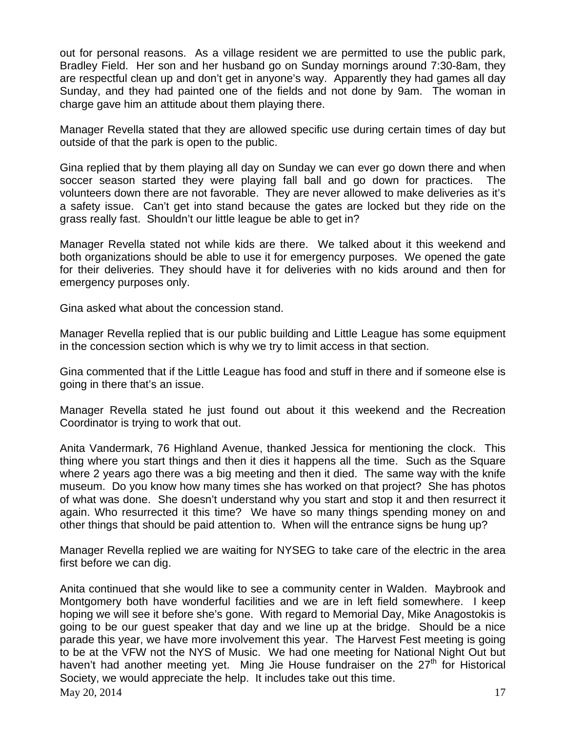out for personal reasons. As a village resident we are permitted to use the public park, Bradley Field. Her son and her husband go on Sunday mornings around 7:30-8am, they are respectful clean up and don't get in anyone's way. Apparently they had games all day Sunday, and they had painted one of the fields and not done by 9am. The woman in charge gave him an attitude about them playing there.

Manager Revella stated that they are allowed specific use during certain times of day but outside of that the park is open to the public.

Gina replied that by them playing all day on Sunday we can ever go down there and when soccer season started they were playing fall ball and go down for practices. The volunteers down there are not favorable. They are never allowed to make deliveries as it's a safety issue. Can't get into stand because the gates are locked but they ride on the grass really fast. Shouldn't our little league be able to get in?

Manager Revella stated not while kids are there. We talked about it this weekend and both organizations should be able to use it for emergency purposes. We opened the gate for their deliveries. They should have it for deliveries with no kids around and then for emergency purposes only.

Gina asked what about the concession stand.

Manager Revella replied that is our public building and Little League has some equipment in the concession section which is why we try to limit access in that section.

Gina commented that if the Little League has food and stuff in there and if someone else is going in there that's an issue.

Manager Revella stated he just found out about it this weekend and the Recreation Coordinator is trying to work that out.

Anita Vandermark, 76 Highland Avenue, thanked Jessica for mentioning the clock. This thing where you start things and then it dies it happens all the time. Such as the Square where 2 years ago there was a big meeting and then it died. The same way with the knife museum. Do you know how many times she has worked on that project? She has photos of what was done. She doesn't understand why you start and stop it and then resurrect it again. Who resurrected it this time? We have so many things spending money on and other things that should be paid attention to. When will the entrance signs be hung up?

Manager Revella replied we are waiting for NYSEG to take care of the electric in the area first before we can dig.

 $\text{Mav } 20, 2014$  17 Anita continued that she would like to see a community center in Walden. Maybrook and Montgomery both have wonderful facilities and we are in left field somewhere. I keep hoping we will see it before she's gone. With regard to Memorial Day, Mike Anagostokis is going to be our guest speaker that day and we line up at the bridge. Should be a nice parade this year, we have more involvement this year. The Harvest Fest meeting is going to be at the VFW not the NYS of Music. We had one meeting for National Night Out but haven't had another meeting yet. Ming Jie House fundraiser on the  $27<sup>th</sup>$  for Historical Society, we would appreciate the help. It includes take out this time.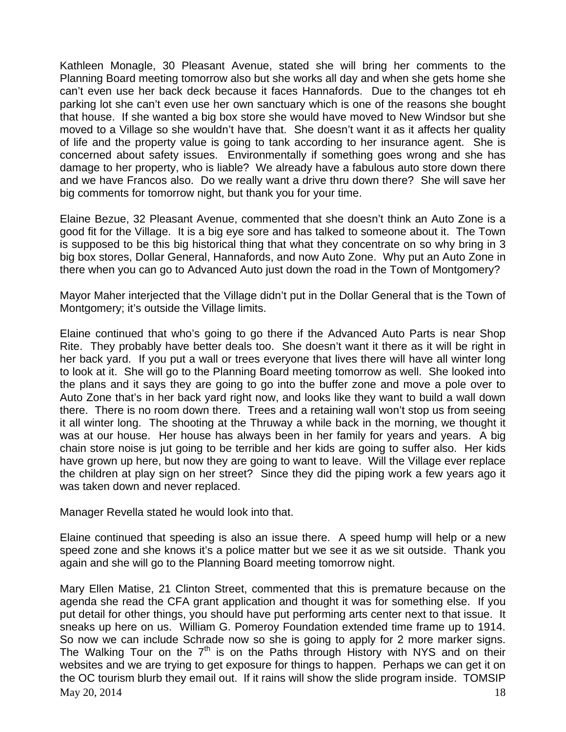Kathleen Monagle, 30 Pleasant Avenue, stated she will bring her comments to the Planning Board meeting tomorrow also but she works all day and when she gets home she can't even use her back deck because it faces Hannafords. Due to the changes tot eh parking lot she can't even use her own sanctuary which is one of the reasons she bought that house. If she wanted a big box store she would have moved to New Windsor but she moved to a Village so she wouldn't have that. She doesn't want it as it affects her quality of life and the property value is going to tank according to her insurance agent. She is concerned about safety issues. Environmentally if something goes wrong and she has damage to her property, who is liable? We already have a fabulous auto store down there and we have Francos also. Do we really want a drive thru down there? She will save her big comments for tomorrow night, but thank you for your time.

Elaine Bezue, 32 Pleasant Avenue, commented that she doesn't think an Auto Zone is a good fit for the Village. It is a big eye sore and has talked to someone about it. The Town is supposed to be this big historical thing that what they concentrate on so why bring in 3 big box stores, Dollar General, Hannafords, and now Auto Zone. Why put an Auto Zone in there when you can go to Advanced Auto just down the road in the Town of Montgomery?

Mayor Maher interjected that the Village didn't put in the Dollar General that is the Town of Montgomery; it's outside the Village limits.

Elaine continued that who's going to go there if the Advanced Auto Parts is near Shop Rite. They probably have better deals too. She doesn't want it there as it will be right in her back yard. If you put a wall or trees everyone that lives there will have all winter long to look at it. She will go to the Planning Board meeting tomorrow as well. She looked into the plans and it says they are going to go into the buffer zone and move a pole over to Auto Zone that's in her back yard right now, and looks like they want to build a wall down there. There is no room down there. Trees and a retaining wall won't stop us from seeing it all winter long. The shooting at the Thruway a while back in the morning, we thought it was at our house. Her house has always been in her family for years and years. A big chain store noise is jut going to be terrible and her kids are going to suffer also. Her kids have grown up here, but now they are going to want to leave. Will the Village ever replace the children at play sign on her street? Since they did the piping work a few years ago it was taken down and never replaced.

Manager Revella stated he would look into that.

Elaine continued that speeding is also an issue there. A speed hump will help or a new speed zone and she knows it's a police matter but we see it as we sit outside. Thank you again and she will go to the Planning Board meeting tomorrow night.

 $\text{Mav } 20, 2014$  18 Mary Ellen Matise, 21 Clinton Street, commented that this is premature because on the agenda she read the CFA grant application and thought it was for something else. If you put detail for other things, you should have put performing arts center next to that issue. It sneaks up here on us. William G. Pomeroy Foundation extended time frame up to 1914. So now we can include Schrade now so she is going to apply for 2 more marker signs. The Walking Tour on the  $7<sup>th</sup>$  is on the Paths through History with NYS and on their websites and we are trying to get exposure for things to happen. Perhaps we can get it on the OC tourism blurb they email out. If it rains will show the slide program inside. TOMSIP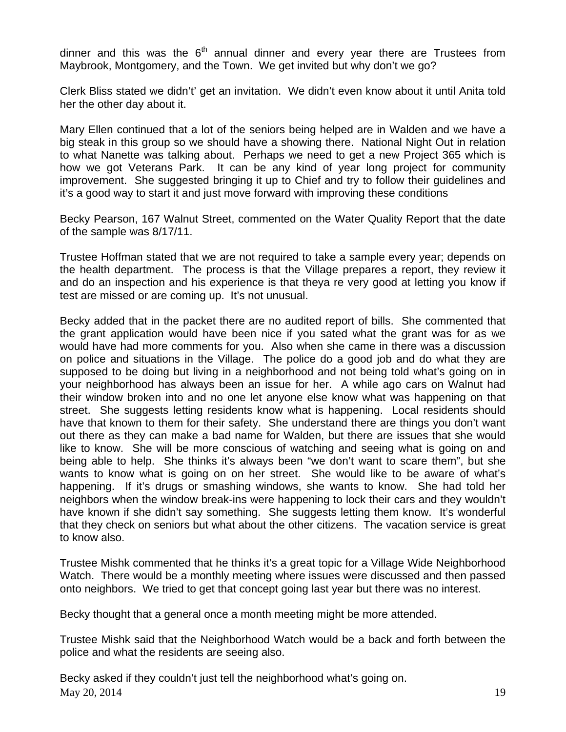dinner and this was the  $6<sup>th</sup>$  annual dinner and every year there are Trustees from Maybrook, Montgomery, and the Town. We get invited but why don't we go?

Clerk Bliss stated we didn't' get an invitation. We didn't even know about it until Anita told her the other day about it.

Mary Ellen continued that a lot of the seniors being helped are in Walden and we have a big steak in this group so we should have a showing there. National Night Out in relation to what Nanette was talking about. Perhaps we need to get a new Project 365 which is how we got Veterans Park. It can be any kind of year long project for community improvement. She suggested bringing it up to Chief and try to follow their guidelines and it's a good way to start it and just move forward with improving these conditions

Becky Pearson, 167 Walnut Street, commented on the Water Quality Report that the date of the sample was 8/17/11.

Trustee Hoffman stated that we are not required to take a sample every year; depends on the health department. The process is that the Village prepares a report, they review it and do an inspection and his experience is that theya re very good at letting you know if test are missed or are coming up. It's not unusual.

Becky added that in the packet there are no audited report of bills. She commented that the grant application would have been nice if you sated what the grant was for as we would have had more comments for you. Also when she came in there was a discussion on police and situations in the Village. The police do a good job and do what they are supposed to be doing but living in a neighborhood and not being told what's going on in your neighborhood has always been an issue for her. A while ago cars on Walnut had their window broken into and no one let anyone else know what was happening on that street. She suggests letting residents know what is happening. Local residents should have that known to them for their safety. She understand there are things you don't want out there as they can make a bad name for Walden, but there are issues that she would like to know. She will be more conscious of watching and seeing what is going on and being able to help. She thinks it's always been "we don't want to scare them", but she wants to know what is going on on her street. She would like to be aware of what's happening. If it's drugs or smashing windows, she wants to know. She had told her neighbors when the window break-ins were happening to lock their cars and they wouldn't have known if she didn't say something. She suggests letting them know. It's wonderful that they check on seniors but what about the other citizens. The vacation service is great to know also.

Trustee Mishk commented that he thinks it's a great topic for a Village Wide Neighborhood Watch. There would be a monthly meeting where issues were discussed and then passed onto neighbors. We tried to get that concept going last year but there was no interest.

Becky thought that a general once a month meeting might be more attended.

Trustee Mishk said that the Neighborhood Watch would be a back and forth between the police and what the residents are seeing also.

 $\text{May } 20, 2014$  19 Becky asked if they couldn't just tell the neighborhood what's going on.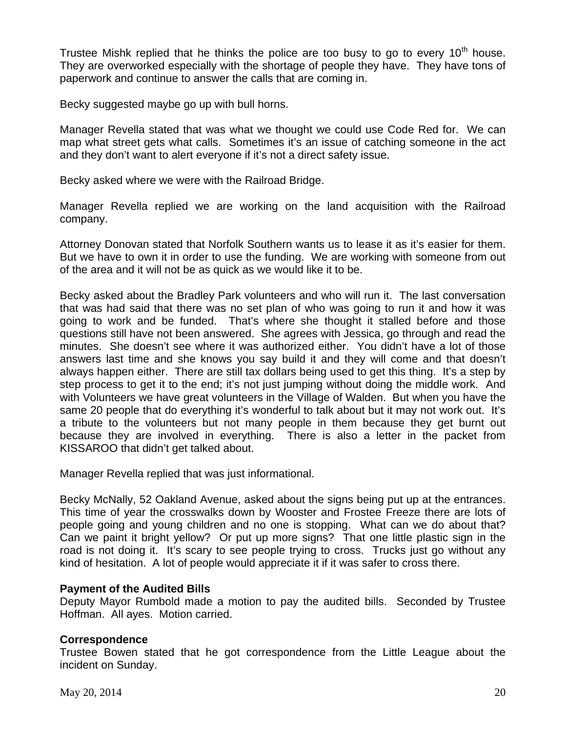Trustee Mishk replied that he thinks the police are too busy to go to every  $10^{th}$  house. They are overworked especially with the shortage of people they have. They have tons of paperwork and continue to answer the calls that are coming in.

Becky suggested maybe go up with bull horns.

Manager Revella stated that was what we thought we could use Code Red for. We can map what street gets what calls. Sometimes it's an issue of catching someone in the act and they don't want to alert everyone if it's not a direct safety issue.

Becky asked where we were with the Railroad Bridge.

Manager Revella replied we are working on the land acquisition with the Railroad company.

Attorney Donovan stated that Norfolk Southern wants us to lease it as it's easier for them. But we have to own it in order to use the funding. We are working with someone from out of the area and it will not be as quick as we would like it to be.

Becky asked about the Bradley Park volunteers and who will run it. The last conversation that was had said that there was no set plan of who was going to run it and how it was going to work and be funded. That's where she thought it stalled before and those questions still have not been answered. She agrees with Jessica, go through and read the minutes. She doesn't see where it was authorized either. You didn't have a lot of those answers last time and she knows you say build it and they will come and that doesn't always happen either. There are still tax dollars being used to get this thing. It's a step by step process to get it to the end; it's not just jumping without doing the middle work. And with Volunteers we have great volunteers in the Village of Walden. But when you have the same 20 people that do everything it's wonderful to talk about but it may not work out. It's a tribute to the volunteers but not many people in them because they get burnt out because they are involved in everything. There is also a letter in the packet from KISSAROO that didn't get talked about.

Manager Revella replied that was just informational.

Becky McNally, 52 Oakland Avenue, asked about the signs being put up at the entrances. This time of year the crosswalks down by Wooster and Frostee Freeze there are lots of people going and young children and no one is stopping. What can we do about that? Can we paint it bright yellow? Or put up more signs? That one little plastic sign in the road is not doing it. It's scary to see people trying to cross. Trucks just go without any kind of hesitation. A lot of people would appreciate it if it was safer to cross there.

# **Payment of the Audited Bills**

Deputy Mayor Rumbold made a motion to pay the audited bills. Seconded by Trustee Hoffman. All ayes. Motion carried.

# **Correspondence**

Trustee Bowen stated that he got correspondence from the Little League about the incident on Sunday.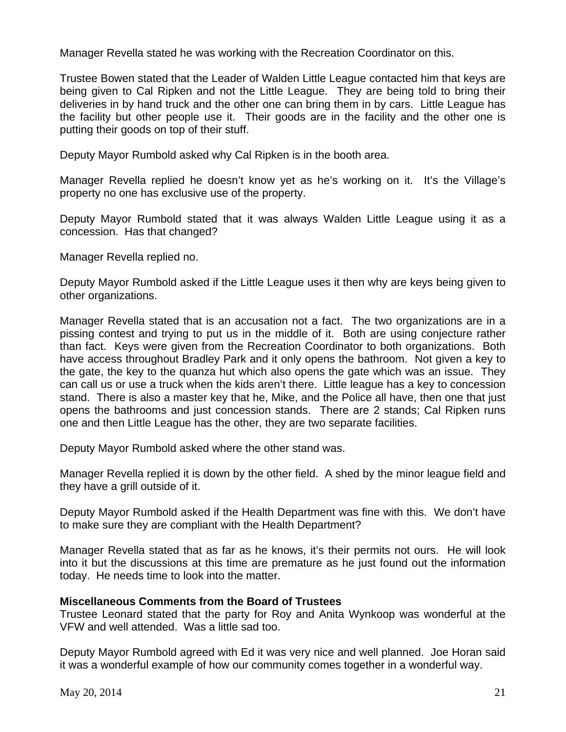Manager Revella stated he was working with the Recreation Coordinator on this.

Trustee Bowen stated that the Leader of Walden Little League contacted him that keys are being given to Cal Ripken and not the Little League. They are being told to bring their deliveries in by hand truck and the other one can bring them in by cars. Little League has the facility but other people use it. Their goods are in the facility and the other one is putting their goods on top of their stuff.

Deputy Mayor Rumbold asked why Cal Ripken is in the booth area.

Manager Revella replied he doesn't know yet as he's working on it. It's the Village's property no one has exclusive use of the property.

Deputy Mayor Rumbold stated that it was always Walden Little League using it as a concession. Has that changed?

Manager Revella replied no.

Deputy Mayor Rumbold asked if the Little League uses it then why are keys being given to other organizations.

Manager Revella stated that is an accusation not a fact. The two organizations are in a pissing contest and trying to put us in the middle of it. Both are using conjecture rather than fact. Keys were given from the Recreation Coordinator to both organizations. Both have access throughout Bradley Park and it only opens the bathroom. Not given a key to the gate, the key to the quanza hut which also opens the gate which was an issue. They can call us or use a truck when the kids aren't there. Little league has a key to concession stand. There is also a master key that he, Mike, and the Police all have, then one that just opens the bathrooms and just concession stands. There are 2 stands; Cal Ripken runs one and then Little League has the other, they are two separate facilities.

Deputy Mayor Rumbold asked where the other stand was.

Manager Revella replied it is down by the other field. A shed by the minor league field and they have a grill outside of it.

Deputy Mayor Rumbold asked if the Health Department was fine with this. We don't have to make sure they are compliant with the Health Department?

Manager Revella stated that as far as he knows, it's their permits not ours. He will look into it but the discussions at this time are premature as he just found out the information today. He needs time to look into the matter.

# **Miscellaneous Comments from the Board of Trustees**

Trustee Leonard stated that the party for Roy and Anita Wynkoop was wonderful at the VFW and well attended. Was a little sad too.

Deputy Mayor Rumbold agreed with Ed it was very nice and well planned. Joe Horan said it was a wonderful example of how our community comes together in a wonderful way.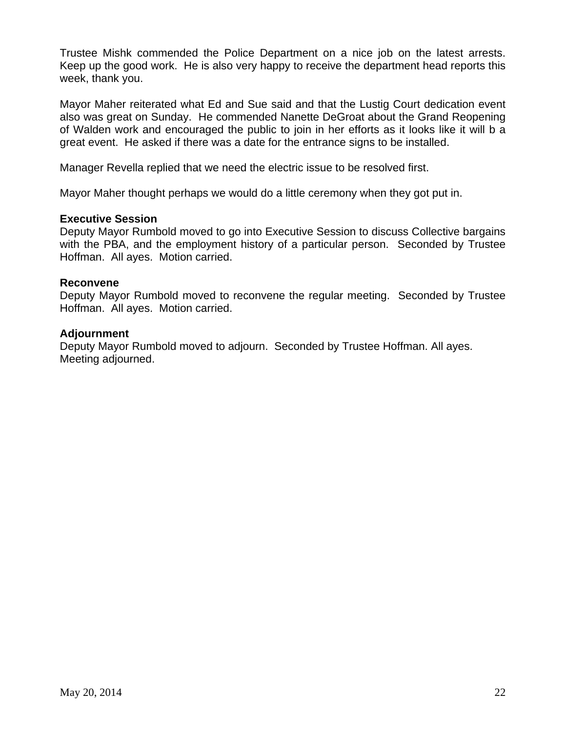Trustee Mishk commended the Police Department on a nice job on the latest arrests. Keep up the good work. He is also very happy to receive the department head reports this week, thank you.

Mayor Maher reiterated what Ed and Sue said and that the Lustig Court dedication event also was great on Sunday. He commended Nanette DeGroat about the Grand Reopening of Walden work and encouraged the public to join in her efforts as it looks like it will b a great event. He asked if there was a date for the entrance signs to be installed.

Manager Revella replied that we need the electric issue to be resolved first.

Mayor Maher thought perhaps we would do a little ceremony when they got put in.

#### **Executive Session**

Deputy Mayor Rumbold moved to go into Executive Session to discuss Collective bargains with the PBA, and the employment history of a particular person. Seconded by Trustee Hoffman. All ayes. Motion carried.

#### **Reconvene**

Deputy Mayor Rumbold moved to reconvene the regular meeting. Seconded by Trustee Hoffman. All ayes. Motion carried.

#### **Adjournment**

Deputy Mayor Rumbold moved to adjourn. Seconded by Trustee Hoffman. All ayes. Meeting adjourned.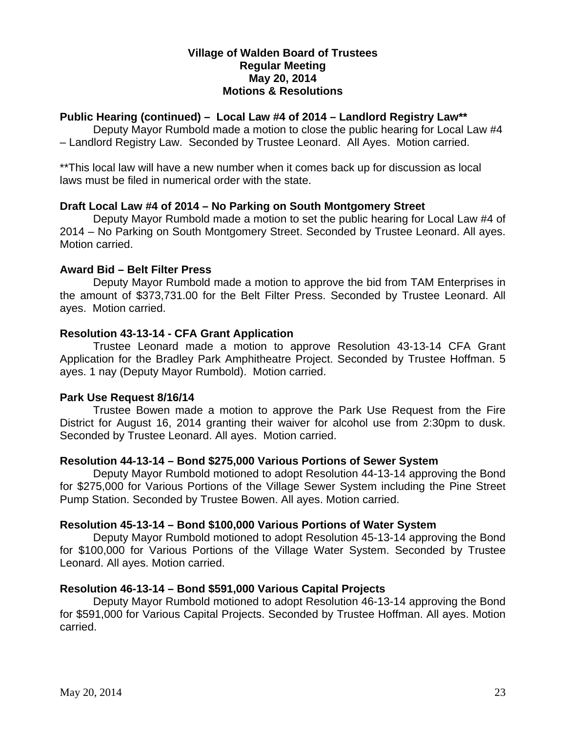## **Village of Walden Board of Trustees Regular Meeting May 20, 2014 Motions & Resolutions**

# **Public Hearing (continued) – Local Law #4 of 2014 – Landlord Registry Law\*\***

Deputy Mayor Rumbold made a motion to close the public hearing for Local Law #4 – Landlord Registry Law. Seconded by Trustee Leonard. All Ayes. Motion carried.

\*\*This local law will have a new number when it comes back up for discussion as local laws must be filed in numerical order with the state.

# **Draft Local Law #4 of 2014 – No Parking on South Montgomery Street**

Deputy Mayor Rumbold made a motion to set the public hearing for Local Law #4 of 2014 – No Parking on South Montgomery Street. Seconded by Trustee Leonard. All ayes. Motion carried.

# **Award Bid – Belt Filter Press**

Deputy Mayor Rumbold made a motion to approve the bid from TAM Enterprises in the amount of \$373,731.00 for the Belt Filter Press. Seconded by Trustee Leonard. All ayes. Motion carried.

# **Resolution 43-13-14 - CFA Grant Application**

Trustee Leonard made a motion to approve Resolution 43-13-14 CFA Grant Application for the Bradley Park Amphitheatre Project. Seconded by Trustee Hoffman. 5 ayes. 1 nay (Deputy Mayor Rumbold). Motion carried.

# **Park Use Request 8/16/14**

Trustee Bowen made a motion to approve the Park Use Request from the Fire District for August 16, 2014 granting their waiver for alcohol use from 2:30pm to dusk. Seconded by Trustee Leonard. All ayes. Motion carried.

# **Resolution 44-13-14 – Bond \$275,000 Various Portions of Sewer System**

Deputy Mayor Rumbold motioned to adopt Resolution 44-13-14 approving the Bond for \$275,000 for Various Portions of the Village Sewer System including the Pine Street Pump Station. Seconded by Trustee Bowen. All ayes. Motion carried.

# **Resolution 45-13-14 – Bond \$100,000 Various Portions of Water System**

Deputy Mayor Rumbold motioned to adopt Resolution 45-13-14 approving the Bond for \$100,000 for Various Portions of the Village Water System. Seconded by Trustee Leonard. All ayes. Motion carried.

# **Resolution 46-13-14 – Bond \$591,000 Various Capital Projects**

Deputy Mayor Rumbold motioned to adopt Resolution 46-13-14 approving the Bond for \$591,000 for Various Capital Projects. Seconded by Trustee Hoffman. All ayes. Motion carried.